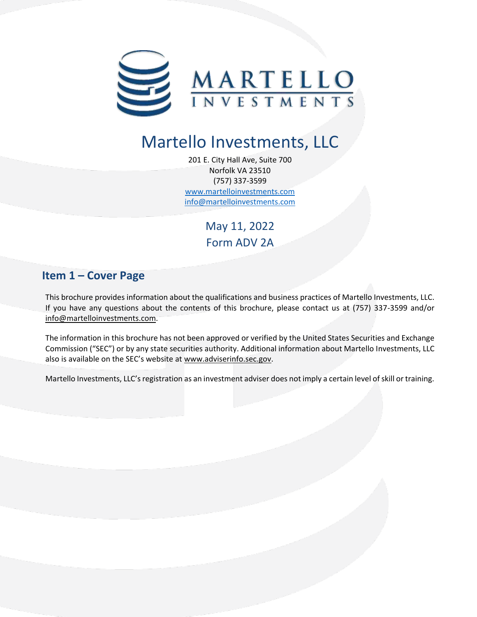

# Martello Investments, LLC

201 E. City Hall Ave, Suite 700 Norfolk VA 23510 (757) 337-3599 [www.martelloinvestments.com](http://www.martelloinvestments.com/) [info@martelloinvestments.com](mailto:info@martelloinvestments.com)

> May 11, 2022 Form ADV 2A

# <span id="page-0-0"></span>**Item 1 – Cover Page**

This brochure provides information about the qualifications and business practices of Martello Investments, LLC. If you have any questions about the contents of this brochure, please contact us at (757) 337-3599 and/or [info@martelloinvestments.com.](mailto:info@martelloinvestments.com)

The information in this brochure has not been approved or verified by the United States Securities and Exchange Commission ("SEC") or by any state securities authority. Additional information about Martello Investments, LLC also is available on the SEC's website at [www.adviserinfo.sec.gov.](http://www.adviserinfo.sec.gov/)

Martello Investments, LLC's registration as an investment adviser does not imply a certain level of skill or training.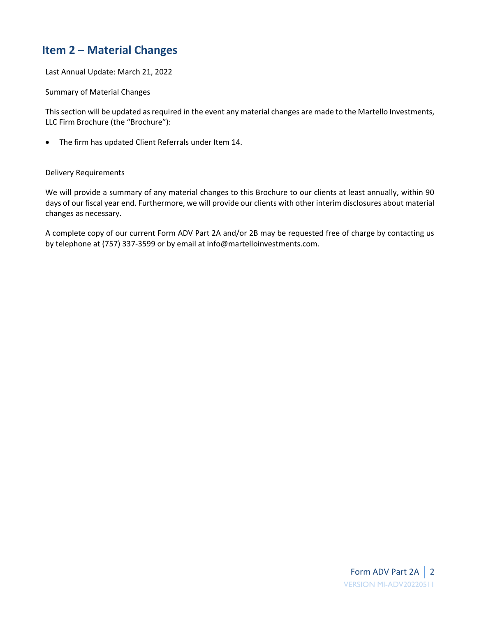# <span id="page-1-0"></span>**Item 2 – Material Changes**

Last Annual Update: March 21, 2022

Summary of Material Changes

This section will be updated as required in the event any material changes are made to the Martello Investments, LLC Firm Brochure (the "Brochure"):

• The firm has updated Client Referrals under Item 14.

#### Delivery Requirements

We will provide a summary of any material changes to this Brochure to our clients at least annually, within 90 days of our fiscal year end. Furthermore, we will provide our clients with other interim disclosures about material changes as necessary.

A complete copy of our current Form ADV Part 2A and/or 2B may be requested free of charge by contacting us by telephone at (757) 337-3599 or by email at info@martelloinvestments.com.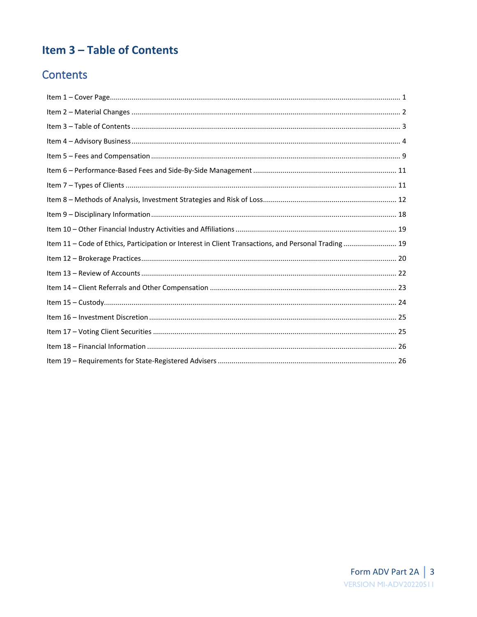# <span id="page-2-0"></span>Item 3 - Table of Contents

# **Contents**

| Item 11 - Code of Ethics, Participation or Interest in Client Transactions, and Personal Trading 19 |  |
|-----------------------------------------------------------------------------------------------------|--|
|                                                                                                     |  |
|                                                                                                     |  |
|                                                                                                     |  |
|                                                                                                     |  |
|                                                                                                     |  |
|                                                                                                     |  |
|                                                                                                     |  |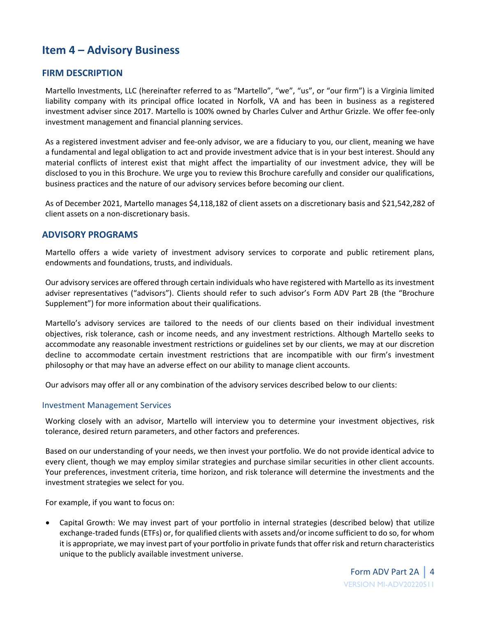# <span id="page-3-0"></span>**Item 4 – Advisory Business**

### **FIRM DESCRIPTION**

Martello Investments, LLC (hereinafter referred to as "Martello", "we", "us", or "our firm") is a Virginia limited liability company with its principal office located in Norfolk, VA and has been in business as a registered investment adviser since 2017. Martello is 100% owned by Charles Culver and Arthur Grizzle. We offer fee-only investment management and financial planning services.

As a registered investment adviser and fee-only advisor, we are a fiduciary to you, our client, meaning we have a fundamental and legal obligation to act and provide investment advice that is in your best interest. Should any material conflicts of interest exist that might affect the impartiality of our investment advice, they will be disclosed to you in this Brochure. We urge you to review this Brochure carefully and consider our qualifications, business practices and the nature of our advisory services before becoming our client.

As of December 2021, Martello manages \$4,118,182 of client assets on a discretionary basis and \$21,542,282 of client assets on a non-discretionary basis.

### **ADVISORY PROGRAMS**

Martello offers a wide variety of investment advisory services to corporate and public retirement plans, endowments and foundations, trusts, and individuals.

Our advisory services are offered through certain individuals who have registered with Martello as its investment adviser representatives ("advisors"). Clients should refer to such advisor's Form ADV Part 2B (the "Brochure Supplement") for more information about their qualifications.

Martello's advisory services are tailored to the needs of our clients based on their individual investment objectives, risk tolerance, cash or income needs, and any investment restrictions. Although Martello seeks to accommodate any reasonable investment restrictions or guidelines set by our clients, we may at our discretion decline to accommodate certain investment restrictions that are incompatible with our firm's investment philosophy or that may have an adverse effect on our ability to manage client accounts.

Our advisors may offer all or any combination of the advisory services described below to our clients:

#### Investment Management Services

Working closely with an advisor, Martello will interview you to determine your investment objectives, risk tolerance, desired return parameters, and other factors and preferences.

Based on our understanding of your needs, we then invest your portfolio. We do not provide identical advice to every client, though we may employ similar strategies and purchase similar securities in other client accounts. Your preferences, investment criteria, time horizon, and risk tolerance will determine the investments and the investment strategies we select for you.

For example, if you want to focus on:

• Capital Growth: We may invest part of your portfolio in internal strategies (described below) that utilize exchange-traded funds (ETFs) or, for qualified clients with assets and/or income sufficient to do so, for whom it is appropriate, we may invest part of your portfolio in private funds that offer risk and return characteristics unique to the publicly available investment universe.

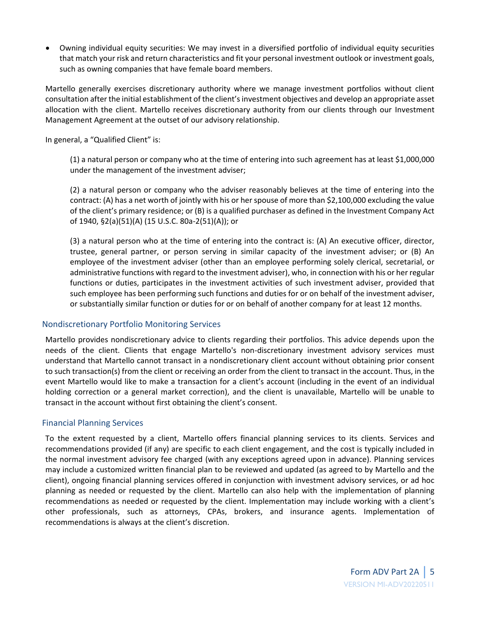• Owning individual equity securities: We may invest in a diversified portfolio of individual equity securities that match your risk and return characteristics and fit your personal investment outlook or investment goals, such as owning companies that have female board members.

Martello generally exercises discretionary authority where we manage investment portfolios without client consultation after the initial establishment of the client's investment objectives and develop an appropriate asset allocation with the client. Martello receives discretionary authority from our clients through our Investment Management Agreement at the outset of our advisory relationship.

In general, a "Qualified Client" is:

(1) a natural person or company who at the time of entering into such agreement has at least \$1,000,000 under the management of the investment adviser;

(2) a natural person or company who the adviser reasonably believes at the time of entering into the contract: (A) has a net worth of jointly with his or her spouse of more than \$2,100,000 excluding the value of the client's primary residence; or (B) is a qualified purchaser as defined in the Investment Company Act of 1940, §2(a)(51)(A) (15 U.S.C. 80a-2(51)(A)); or

(3) a natural person who at the time of entering into the contract is: (A) An executive officer, director, trustee, general partner, or person serving in similar capacity of the investment adviser; or (B) An employee of the investment adviser (other than an employee performing solely clerical, secretarial, or administrative functions with regard to the investment adviser), who, in connection with his or her regular functions or duties, participates in the investment activities of such investment adviser, provided that such employee has been performing such functions and duties for or on behalf of the investment adviser, or substantially similar function or duties for or on behalf of another company for at least 12 months.

#### Nondiscretionary Portfolio Monitoring Services

Martello provides nondiscretionary advice to clients regarding their portfolios. This advice depends upon the needs of the client. Clients that engage Martello's non-discretionary investment advisory services must understand that Martello cannot transact in a nondiscretionary client account without obtaining prior consent to such transaction(s) from the client or receiving an order from the client to transact in the account. Thus, in the event Martello would like to make a transaction for a client's account (including in the event of an individual holding correction or a general market correction), and the client is unavailable, Martello will be unable to transact in the account without first obtaining the client's consent.

#### Financial Planning Services

To the extent requested by a client, Martello offers financial planning services to its clients. Services and recommendations provided (if any) are specific to each client engagement, and the cost is typically included in the normal investment advisory fee charged (with any exceptions agreed upon in advance). Planning services may include a customized written financial plan to be reviewed and updated (as agreed to by Martello and the client), ongoing financial planning services offered in conjunction with investment advisory services, or ad hoc planning as needed or requested by the client. Martello can also help with the implementation of planning recommendations as needed or requested by the client. Implementation may include working with a client's other professionals, such as attorneys, CPAs, brokers, and insurance agents. Implementation of recommendations is always at the client's discretion.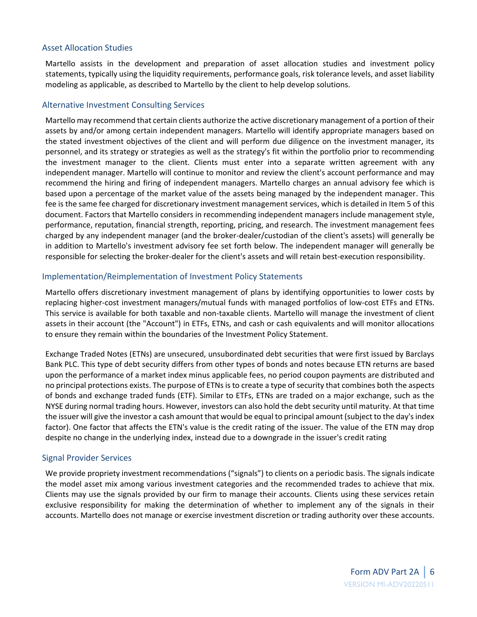#### Asset Allocation Studies

Martello assists in the development and preparation of asset allocation studies and investment policy statements, typically using the liquidity requirements, performance goals, risk tolerance levels, and asset liability modeling as applicable, as described to Martello by the client to help develop solutions.

#### Alternative Investment Consulting Services

Martello may recommend that certain clients authorize the active discretionary management of a portion of their assets by and/or among certain independent managers. Martello will identify appropriate managers based on the stated investment objectives of the client and will perform due diligence on the investment manager, its personnel, and its strategy or strategies as well as the strategy's fit within the portfolio prior to recommending the investment manager to the client. Clients must enter into a separate written agreement with any independent manager. Martello will continue to monitor and review the client's account performance and may recommend the hiring and firing of independent managers. Martello charges an annual advisory fee which is based upon a percentage of the market value of the assets being managed by the independent manager. This fee is the same fee charged for discretionary investment management services, which is detailed in Item 5 of this document. Factors that Martello considers in recommending independent managers include management style, performance, reputation, financial strength, reporting, pricing, and research. The investment management fees charged by any independent manager (and the broker-dealer/custodian of the client's assets) will generally be in addition to Martello's investment advisory fee set forth below. The independent manager will generally be responsible for selecting the broker-dealer for the client's assets and will retain best-execution responsibility.

#### Implementation/Reimplementation of Investment Policy Statements

Martello offers discretionary investment management of plans by identifying opportunities to lower costs by replacing higher-cost investment managers/mutual funds with managed portfolios of low-cost ETFs and ETNs. This service is available for both taxable and non-taxable clients. Martello will manage the investment of client assets in their account (the "Account") in ETFs, ETNs, and cash or cash equivalents and will monitor allocations to ensure they remain within the boundaries of the Investment Policy Statement.

Exchange Traded Notes (ETNs) are unsecured, unsubordinated debt securities that were first issued by Barclays Bank PLC. This type of debt security differs from other types of bonds and notes because ETN returns are based upon the performance of a market index minus applicable fees, no period coupon payments are distributed and no principal protections exists. The purpose of ETNs is to create a type of security that combines both the aspects of bonds and exchange traded funds (ETF). Similar to ETFs, ETNs are traded on a major exchange, such as the NYSE during normal trading hours. However, investors can also hold the debt security until maturity. At that time the issuer will give the investor a cash amount that would be equal to principal amount (subject to the day's index factor). One factor that affects the ETN's value is the credit rating of the issuer. The value of the ETN may drop despite no change in the underlying index, instead due to a downgrade in the issuer's credit rating

### Signal Provider Services

We provide propriety investment recommendations ("signals") to clients on a periodic basis. The signals indicate the model asset mix among various investment categories and the recommended trades to achieve that mix. Clients may use the signals provided by our firm to manage their accounts. Clients using these services retain exclusive responsibility for making the determination of whether to implement any of the signals in their accounts. Martello does not manage or exercise investment discretion or trading authority over these accounts.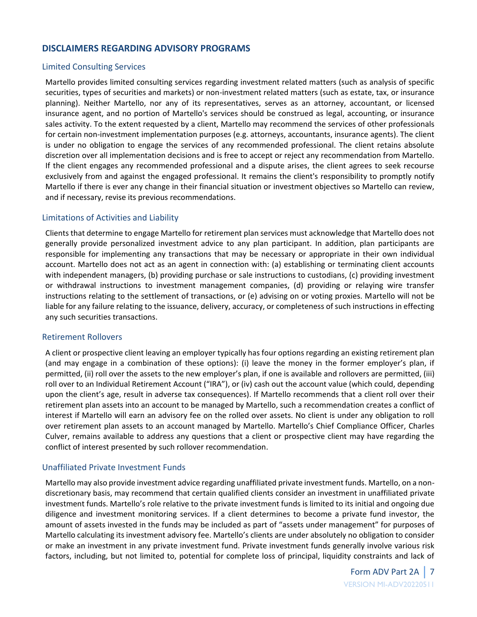### **DISCLAIMERS REGARDING ADVISORY PROGRAMS**

#### Limited Consulting Services

Martello provides limited consulting services regarding investment related matters (such as analysis of specific securities, types of securities and markets) or non-investment related matters (such as estate, tax, or insurance planning). Neither Martello, nor any of its representatives, serves as an attorney, accountant, or licensed insurance agent, and no portion of Martello's services should be construed as legal, accounting, or insurance sales activity. To the extent requested by a client, Martello may recommend the services of other professionals for certain non-investment implementation purposes (e.g. attorneys, accountants, insurance agents). The client is under no obligation to engage the services of any recommended professional. The client retains absolute discretion over all implementation decisions and is free to accept or reject any recommendation from Martello. If the client engages any recommended professional and a dispute arises, the client agrees to seek recourse exclusively from and against the engaged professional. It remains the client's responsibility to promptly notify Martello if there is ever any change in their financial situation or investment objectives so Martello can review, and if necessary, revise its previous recommendations.

#### Limitations of Activities and Liability

Clients that determine to engage Martello for retirement plan services must acknowledge that Martello does not generally provide personalized investment advice to any plan participant. In addition, plan participants are responsible for implementing any transactions that may be necessary or appropriate in their own individual account. Martello does not act as an agent in connection with: (a) establishing or terminating client accounts with independent managers, (b) providing purchase or sale instructions to custodians, (c) providing investment or withdrawal instructions to investment management companies, (d) providing or relaying wire transfer instructions relating to the settlement of transactions, or (e) advising on or voting proxies. Martello will not be liable for any failure relating to the issuance, delivery, accuracy, or completeness of such instructions in effecting any such securities transactions.

#### Retirement Rollovers

A client or prospective client leaving an employer typically has four options regarding an existing retirement plan (and may engage in a combination of these options): (i) leave the money in the former employer's plan, if permitted, (ii) roll over the assets to the new employer's plan, if one is available and rollovers are permitted, (iii) roll over to an Individual Retirement Account ("IRA"), or (iv) cash out the account value (which could, depending upon the client's age, result in adverse tax consequences). If Martello recommends that a client roll over their retirement plan assets into an account to be managed by Martello, such a recommendation creates a conflict of interest if Martello will earn an advisory fee on the rolled over assets. No client is under any obligation to roll over retirement plan assets to an account managed by Martello. Martello's Chief Compliance Officer, Charles Culver, remains available to address any questions that a client or prospective client may have regarding the conflict of interest presented by such rollover recommendation.

#### Unaffiliated Private Investment Funds

Martello may also provide investment advice regarding unaffiliated private investment funds. Martello, on a nondiscretionary basis, may recommend that certain qualified clients consider an investment in unaffiliated private investment funds. Martello's role relative to the private investment funds is limited to its initial and ongoing due diligence and investment monitoring services. If a client determines to become a private fund investor, the amount of assets invested in the funds may be included as part of "assets under management" for purposes of Martello calculating its investment advisory fee. Martello's clients are under absolutely no obligation to consider or make an investment in any private investment fund. Private investment funds generally involve various risk factors, including, but not limited to, potential for complete loss of principal, liquidity constraints and lack of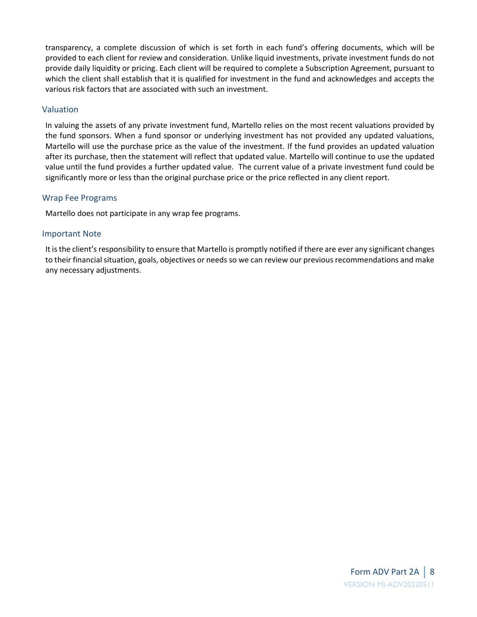transparency, a complete discussion of which is set forth in each fund's offering documents, which will be provided to each client for review and consideration. Unlike liquid investments, private investment funds do not provide daily liquidity or pricing. Each client will be required to complete a Subscription Agreement, pursuant to which the client shall establish that it is qualified for investment in the fund and acknowledges and accepts the various risk factors that are associated with such an investment.

#### Valuation

In valuing the assets of any private investment fund, Martello relies on the most recent valuations provided by the fund sponsors. When a fund sponsor or underlying investment has not provided any updated valuations, Martello will use the purchase price as the value of the investment. If the fund provides an updated valuation after its purchase, then the statement will reflect that updated value. Martello will continue to use the updated value until the fund provides a further updated value. The current value of a private investment fund could be significantly more or less than the original purchase price or the price reflected in any client report.

#### Wrap Fee Programs

Martello does not participate in any wrap fee programs.

#### Important Note

It is the client's responsibility to ensure that Martello is promptly notified if there are ever any significant changes to their financial situation, goals, objectives or needs so we can review our previous recommendations and make any necessary adjustments.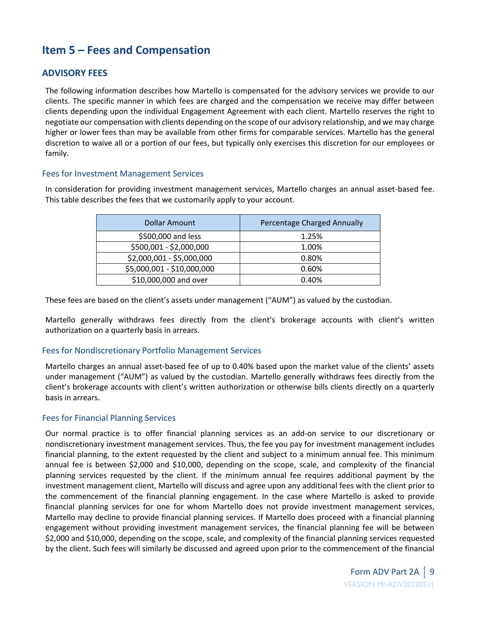# <span id="page-8-0"></span>**Item 5 – Fees and Compensation**

### **ADVISORY FEES**

The following information describes how Martello is compensated for the advisory services we provide to our clients. The specific manner in which fees are charged and the compensation we receive may differ between clients depending upon the individual Engagement Agreement with each client. Martello reserves the right to negotiate our compensation with clients depending on the scope of our advisory relationship, and we may charge higher or lower fees than may be available from other firms for comparable services. Martello has the general discretion to waive all or a portion of our fees, but typically only exercises this discretion for our employees or family.

#### Fees for Investment Management Services

In consideration for providing investment management services, Martello charges an annual asset-based fee. This table describes the fees that we customarily apply to your account.

| <b>Dollar Amount</b>       | Percentage Charged Annually |
|----------------------------|-----------------------------|
| \$500,000 and less         | 1.25%                       |
| \$500,001 - \$2,000,000    | 1.00%                       |
| \$2,000,001 - \$5,000,000  | 0.80%                       |
| \$5,000,001 - \$10,000,000 | 0.60%                       |
| \$10,000,000 and over      | 0.40%                       |

These fees are based on the client's assets under management ("AUM") as valued by the custodian.

Martello generally withdraws fees directly from the client's brokerage accounts with client's written authorization on a quarterly basis in arrears.

#### Fees for Nondiscretionary Portfolio Management Services

Martello charges an annual asset-based fee of up to 0.40% based upon the market value of the clients' assets under management ("AUM") as valued by the custodian. Martello generally withdraws fees directly from the client's brokerage accounts with client's written authorization or otherwise bills clients directly on a quarterly basis in arrears.

#### Fees for Financial Planning Services

Our normal practice is to offer financial planning services as an add-on service to our discretionary or nondiscretionary investment management services. Thus, the fee you pay for investment management includes financial planning, to the extent requested by the client and subject to a minimum annual fee. This minimum annual fee is between \$2,000 and \$10,000, depending on the scope, scale, and complexity of the financial planning services requested by the client. If the minimum annual fee requires additional payment by the investment management client, Martello will discuss and agree upon any additional fees with the client prior to the commencement of the financial planning engagement. In the case where Martello is asked to provide financial planning services for one for whom Martello does not provide investment management services, Martello may decline to provide financial planning services. If Martello does proceed with a financial planning engagement without providing investment management services, the financial planning fee will be between \$2,000 and \$10,000, depending on the scope, scale, and complexity of the financial planning services requested by the client. Such fees will similarly be discussed and agreed upon prior to the commencement of the financial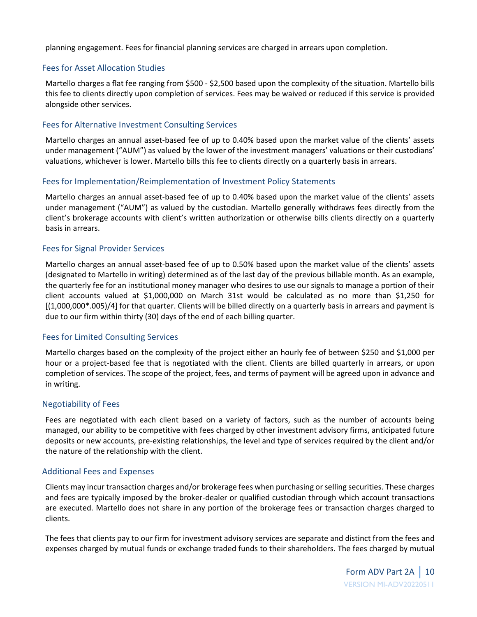planning engagement. Fees for financial planning services are charged in arrears upon completion.

#### Fees for Asset Allocation Studies

Martello charges a flat fee ranging from \$500 - \$2,500 based upon the complexity of the situation. Martello bills this fee to clients directly upon completion of services. Fees may be waived or reduced if this service is provided alongside other services.

#### Fees for Alternative Investment Consulting Services

Martello charges an annual asset-based fee of up to 0.40% based upon the market value of the clients' assets under management ("AUM") as valued by the lower of the investment managers' valuations or their custodians' valuations, whichever is lower. Martello bills this fee to clients directly on a quarterly basis in arrears.

#### Fees for Implementation/Reimplementation of Investment Policy Statements

Martello charges an annual asset-based fee of up to 0.40% based upon the market value of the clients' assets under management ("AUM") as valued by the custodian. Martello generally withdraws fees directly from the client's brokerage accounts with client's written authorization or otherwise bills clients directly on a quarterly basis in arrears.

#### Fees for Signal Provider Services

Martello charges an annual asset-based fee of up to 0.50% based upon the market value of the clients' assets (designated to Martello in writing) determined as of the last day of the previous billable month. As an example, the quarterly fee for an institutional money manager who desires to use our signals to manage a portion of their client accounts valued at \$1,000,000 on March 31st would be calculated as no more than \$1,250 for [(1,000,000\*.005)/4] for that quarter. Clients will be billed directly on a quarterly basis in arrears and payment is due to our firm within thirty (30) days of the end of each billing quarter.

#### Fees for Limited Consulting Services

Martello charges based on the complexity of the project either an hourly fee of between \$250 and \$1,000 per hour or a project-based fee that is negotiated with the client. Clients are billed quarterly in arrears, or upon completion of services. The scope of the project, fees, and terms of payment will be agreed upon in advance and in writing.

#### Negotiability of Fees

Fees are negotiated with each client based on a variety of factors, such as the number of accounts being managed, our ability to be competitive with fees charged by other investment advisory firms, anticipated future deposits or new accounts, pre-existing relationships, the level and type of services required by the client and/or the nature of the relationship with the client.

#### Additional Fees and Expenses

Clients may incur transaction charges and/or brokerage fees when purchasing or selling securities. These charges and fees are typically imposed by the broker-dealer or qualified custodian through which account transactions are executed. Martello does not share in any portion of the brokerage fees or transaction charges charged to clients.

The fees that clients pay to our firm for investment advisory services are separate and distinct from the fees and expenses charged by mutual funds or exchange traded funds to their shareholders. The fees charged by mutual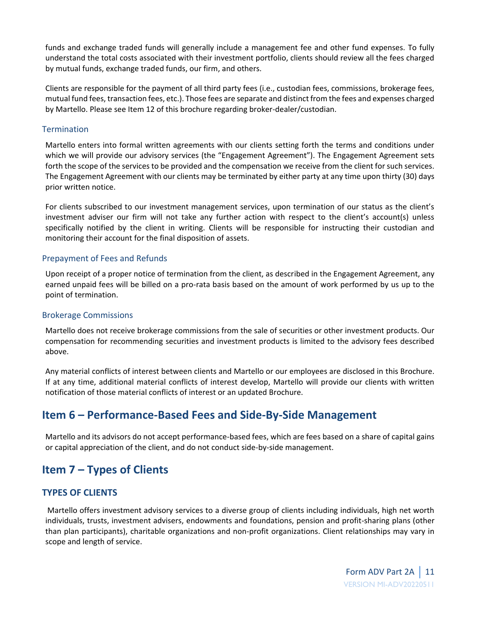funds and exchange traded funds will generally include a management fee and other fund expenses. To fully understand the total costs associated with their investment portfolio, clients should review all the fees charged by mutual funds, exchange traded funds, our firm, and others.

Clients are responsible for the payment of all third party fees (i.e., custodian fees, commissions, brokerage fees, mutual fund fees, transaction fees, etc.). Those fees are separate and distinct from the fees and expenses charged by Martello. Please see Item 12 of this brochure regarding broker-dealer/custodian.

#### **Termination**

Martello enters into formal written agreements with our clients setting forth the terms and conditions under which we will provide our advisory services (the "Engagement Agreement"). The Engagement Agreement sets forth the scope of the services to be provided and the compensation we receive from the client for such services. The Engagement Agreement with our clients may be terminated by either party at any time upon thirty (30) days prior written notice.

For clients subscribed to our investment management services, upon termination of our status as the client's investment adviser our firm will not take any further action with respect to the client's account(s) unless specifically notified by the client in writing. Clients will be responsible for instructing their custodian and monitoring their account for the final disposition of assets.

#### Prepayment of Fees and Refunds

Upon receipt of a proper notice of termination from the client, as described in the Engagement Agreement, any earned unpaid fees will be billed on a pro-rata basis based on the amount of work performed by us up to the point of termination.

#### Brokerage Commissions

Martello does not receive brokerage commissions from the sale of securities or other investment products. Our compensation for recommending securities and investment products is limited to the advisory fees described above.

Any material conflicts of interest between clients and Martello or our employees are disclosed in this Brochure. If at any time, additional material conflicts of interest develop, Martello will provide our clients with written notification of those material conflicts of interest or an updated Brochure.

# <span id="page-10-0"></span>**Item 6 – Performance-Based Fees and Side-By-Side Management**

<span id="page-10-1"></span>Martello and its advisors do not accept performance-based fees, which are fees based on a share of capital gains or capital appreciation of the client, and do not conduct side-by-side management.

# **Item 7 – Types of Clients**

## **TYPES OF CLIENTS**

Martello offers investment advisory services to a diverse group of clients including individuals, high net worth individuals, trusts, investment advisers, endowments and foundations, pension and profit-sharing plans (other than plan participants), charitable organizations and non-profit organizations. Client relationships may vary in scope and length of service.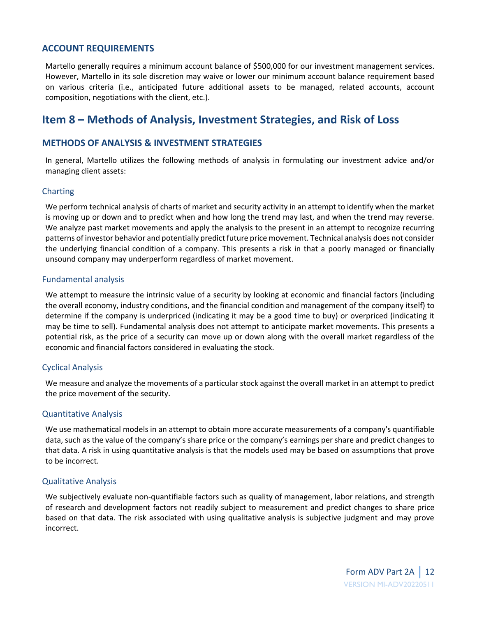#### **ACCOUNT REQUIREMENTS**

Martello generally requires a minimum account balance of \$500,000 for our investment management services. However, Martello in its sole discretion may waive or lower our minimum account balance requirement based on various criteria (i.e., anticipated future additional assets to be managed, related accounts, account composition, negotiations with the client, etc.).

# <span id="page-11-0"></span>**Item 8 – Methods of Analysis, Investment Strategies, and Risk of Loss**

#### **METHODS OF ANALYSIS & INVESTMENT STRATEGIES**

In general, Martello utilizes the following methods of analysis in formulating our investment advice and/or managing client assets:

#### Charting

We perform technical analysis of charts of market and security activity in an attempt to identify when the market is moving up or down and to predict when and how long the trend may last, and when the trend may reverse. We analyze past market movements and apply the analysis to the present in an attempt to recognize recurring patterns of investor behavior and potentially predict future price movement. Technical analysis does not consider the underlying financial condition of a company. This presents a risk in that a poorly managed or financially unsound company may underperform regardless of market movement.

#### Fundamental analysis

We attempt to measure the intrinsic value of a security by looking at economic and financial factors (including the overall economy, industry conditions, and the financial condition and management of the company itself) to determine if the company is underpriced (indicating it may be a good time to buy) or overpriced (indicating it may be time to sell). Fundamental analysis does not attempt to anticipate market movements. This presents a potential risk, as the price of a security can move up or down along with the overall market regardless of the economic and financial factors considered in evaluating the stock.

#### Cyclical Analysis

We measure and analyze the movements of a particular stock against the overall market in an attempt to predict the price movement of the security.

#### Quantitative Analysis

We use mathematical models in an attempt to obtain more accurate measurements of a company's quantifiable data, such as the value of the company's share price or the company's earnings per share and predict changes to that data. A risk in using quantitative analysis is that the models used may be based on assumptions that prove to be incorrect.

#### Qualitative Analysis

We subjectively evaluate non-quantifiable factors such as quality of management, labor relations, and strength of research and development factors not readily subject to measurement and predict changes to share price based on that data. The risk associated with using qualitative analysis is subjective judgment and may prove incorrect.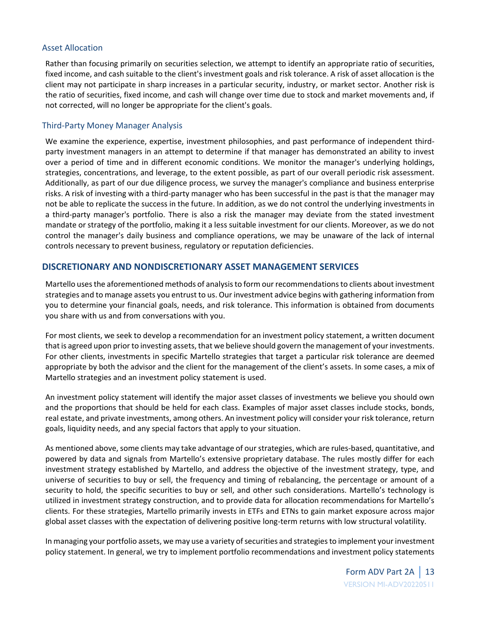#### Asset Allocation

Rather than focusing primarily on securities selection, we attempt to identify an appropriate ratio of securities, fixed income, and cash suitable to the client's investment goals and risk tolerance. A risk of asset allocation is the client may not participate in sharp increases in a particular security, industry, or market sector. Another risk is the ratio of securities, fixed income, and cash will change over time due to stock and market movements and, if not corrected, will no longer be appropriate for the client's goals.

#### Third-Party Money Manager Analysis

We examine the experience, expertise, investment philosophies, and past performance of independent thirdparty investment managers in an attempt to determine if that manager has demonstrated an ability to invest over a period of time and in different economic conditions. We monitor the manager's underlying holdings, strategies, concentrations, and leverage, to the extent possible, as part of our overall periodic risk assessment. Additionally, as part of our due diligence process, we survey the manager's compliance and business enterprise risks. A risk of investing with a third-party manager who has been successful in the past is that the manager may not be able to replicate the success in the future. In addition, as we do not control the underlying investments in a third-party manager's portfolio. There is also a risk the manager may deviate from the stated investment mandate or strategy of the portfolio, making it a less suitable investment for our clients. Moreover, as we do not control the manager's daily business and compliance operations, we may be unaware of the lack of internal controls necessary to prevent business, regulatory or reputation deficiencies.

### **DISCRETIONARY AND NONDISCRETIONARY ASSET MANAGEMENT SERVICES**

Martello usesthe aforementioned methods of analysis to form our recommendations to clients about investment strategies and to manage assets you entrust to us. Our investment advice begins with gathering information from you to determine your financial goals, needs, and risk tolerance. This information is obtained from documents you share with us and from conversations with you.

For most clients, we seek to develop a recommendation for an investment policy statement, a written document that is agreed upon prior to investing assets, that we believe should govern the management of your investments. For other clients, investments in specific Martello strategies that target a particular risk tolerance are deemed appropriate by both the advisor and the client for the management of the client's assets. In some cases, a mix of Martello strategies and an investment policy statement is used.

An investment policy statement will identify the major asset classes of investments we believe you should own and the proportions that should be held for each class. Examples of major asset classes include stocks, bonds, real estate, and private investments, among others. An investment policy will consider your risk tolerance, return goals, liquidity needs, and any special factors that apply to your situation.

As mentioned above, some clients may take advantage of our strategies, which are rules-based, quantitative, and powered by data and signals from Martello's extensive proprietary database. The rules mostly differ for each investment strategy established by Martello, and address the objective of the investment strategy, type, and universe of securities to buy or sell, the frequency and timing of rebalancing, the percentage or amount of a security to hold, the specific securities to buy or sell, and other such considerations. Martello's technology is utilized in investment strategy construction, and to provide data for allocation recommendations for Martello's clients. For these strategies, Martello primarily invests in ETFs and ETNs to gain market exposure across major global asset classes with the expectation of delivering positive long-term returns with low structural volatility.

In managing your portfolio assets, we may use a variety of securities and strategies to implement your investment policy statement. In general, we try to implement portfolio recommendations and investment policy statements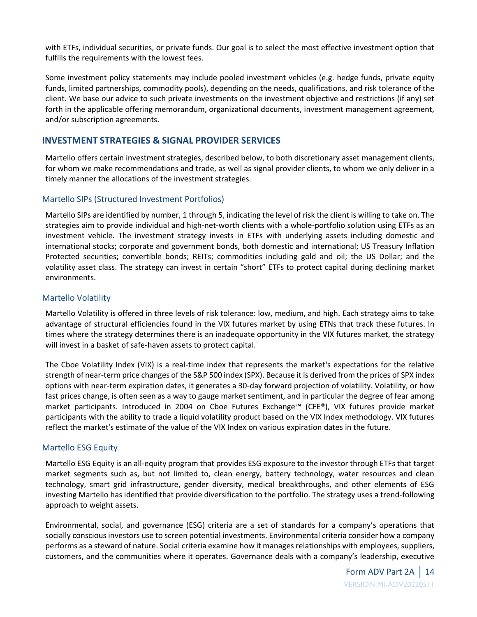with ETFs, individual securities, or private funds. Our goal is to select the most effective investment option that fulfills the requirements with the lowest fees.

Some investment policy statements may include pooled investment vehicles (e.g. hedge funds, private equity funds, limited partnerships, commodity pools), depending on the needs, qualifications, and risk tolerance of the client. We base our advice to such private investments on the investment objective and restrictions (if any) set forth in the applicable offering memorandum, organizational documents, investment management agreement, and/or subscription agreements.

### **INVESTMENT STRATEGIES & SIGNAL PROVIDER SERVICES**

Martello offers certain investment strategies, described below, to both discretionary asset management clients, for whom we make recommendations and trade, as well as signal provider clients, to whom we only deliver in a timely manner the allocations of the investment strategies.

### Martello SIPs (Structured Investment Portfolios)

Martello SIPs are identified by number, 1 through 5, indicating the level of risk the client is willing to take on. The strategies aim to provide individual and high-net-worth clients with a whole-portfolio solution using ETFs as an investment vehicle. The investment strategy invests in ETFs with underlying assets including domestic and international stocks; corporate and government bonds, both domestic and international; US Treasury Inflation Protected securities; convertible bonds; REITs; commodities including gold and oil; the US Dollar; and the volatility asset class. The strategy can invest in certain "short" ETFs to protect capital during declining market environments.

#### Martello Volatility

Martello Volatility is offered in three levels of risk tolerance: low, medium, and high. Each strategy aims to take advantage of structural efficiencies found in the VIX futures market by using ETNs that track these futures. In times where the strategy determines there is an inadequate opportunity in the VIX futures market, the strategy will invest in a basket of safe-haven assets to protect capital.

The Cboe Volatility Index (VIX) is a real-time index that represents the market's expectations for the relative strength of near-term price changes of the S&P 500 index (SPX). Because it is derived from the prices of SPX index options with near-term expiration dates, it generates a 30-day forward projection of volatility. Volatility, or how fast prices change, is often seen as a way to gauge market sentiment, and in particular the degree of fear among market participants. Introduced in 2004 on Cboe Futures Exchange℠ (CFE®), VIX futures provide market participants with the ability to trade a liquid volatility product based on the VIX Index methodology. VIX futures reflect the market's estimate of the value of the VIX Index on various expiration dates in the future.

#### Martello ESG Equity

Martello ESG Equity is an all-equity program that provides ESG exposure to the investor through ETFs that target market segments such as, but not limited to, clean energy, battery technology, water resources and clean technology, smart grid infrastructure, gender diversity, medical breakthroughs, and other elements of ESG investing Martello has identified that provide diversification to the portfolio. The strategy uses a trend-following approach to weight assets.

Environmental, social, and governance (ESG) criteria are a set of standards for a company's operations that socially conscious investors use to screen potential investments. Environmental criteria consider how a company performs as a steward of nature. Social criteria examine how it manages relationships with employees, suppliers, customers, and the communities where it operates. Governance deals with a company's leadership, executive

> Form ADV Part 2A | 14 VERSION MI-ADV20220511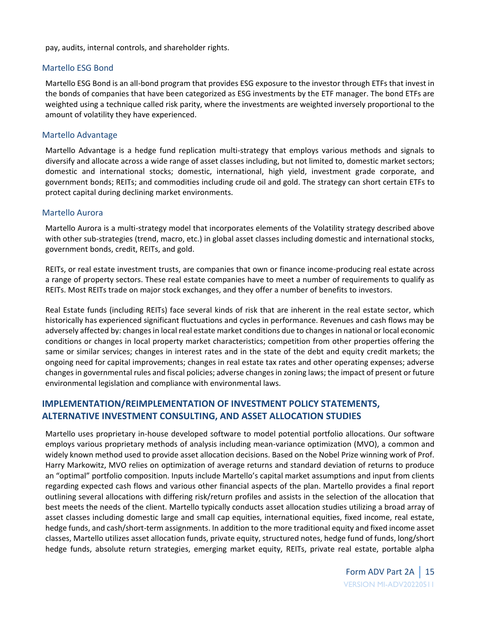pay, audits, internal controls, and shareholder rights.

#### Martello ESG Bond

Martello ESG Bond is an all-bond program that provides ESG exposure to the investor through ETFs that invest in the bonds of companies that have been categorized as ESG investments by the ETF manager. The bond ETFs are weighted using a technique called risk parity, where the investments are weighted inversely proportional to the amount of volatility they have experienced.

#### Martello Advantage

Martello Advantage is a hedge fund replication multi-strategy that employs various methods and signals to diversify and allocate across a wide range of asset classes including, but not limited to, domestic market sectors; domestic and international stocks; domestic, international, high yield, investment grade corporate, and government bonds; REITs; and commodities including crude oil and gold. The strategy can short certain ETFs to protect capital during declining market environments.

#### Martello Aurora

Martello Aurora is a multi-strategy model that incorporates elements of the Volatility strategy described above with other sub-strategies (trend, macro, etc.) in global asset classes including domestic and international stocks, government bonds, credit, REITs, and gold.

REITs, or real estate investment trusts, are companies that own or finance income-producing real estate across a range of property sectors. These real estate companies have to meet a number of requirements to qualify as REITs. Most REITs trade on major stock exchanges, and they offer a number of benefits to investors.

Real Estate funds (including REITs) face several kinds of risk that are inherent in the real estate sector, which historically has experienced significant fluctuations and cycles in performance. Revenues and cash flows may be adversely affected by: changes in local real estate market conditions due to changes in national or local economic conditions or changes in local property market characteristics; competition from other properties offering the same or similar services; changes in interest rates and in the state of the debt and equity credit markets; the ongoing need for capital improvements; changes in real estate tax rates and other operating expenses; adverse changes in governmental rules and fiscal policies; adverse changes in zoning laws; the impact of present or future environmental legislation and compliance with environmental laws.

## **IMPLEMENTATION/REIMPLEMENTATION OF INVESTMENT POLICY STATEMENTS, ALTERNATIVE INVESTMENT CONSULTING, AND ASSET ALLOCATION STUDIES**

Martello uses proprietary in-house developed software to model potential portfolio allocations. Our software employs various proprietary methods of analysis including mean-variance optimization (MVO), a common and widely known method used to provide asset allocation decisions. Based on the Nobel Prize winning work of Prof. Harry Markowitz, MVO relies on optimization of average returns and standard deviation of returns to produce an "optimal" portfolio composition. Inputs include Martello's capital market assumptions and input from clients regarding expected cash flows and various other financial aspects of the plan. Martello provides a final report outlining several allocations with differing risk/return profiles and assists in the selection of the allocation that best meets the needs of the client. Martello typically conducts asset allocation studies utilizing a broad array of asset classes including domestic large and small cap equities, international equities, fixed income, real estate, hedge funds, and cash/short-term assignments. In addition to the more traditional equity and fixed income asset classes, Martello utilizes asset allocation funds, private equity, structured notes, hedge fund of funds, long/short hedge funds, absolute return strategies, emerging market equity, REITs, private real estate, portable alpha

> Form ADV Part 2A | 15 VERSION MI-ADV20220511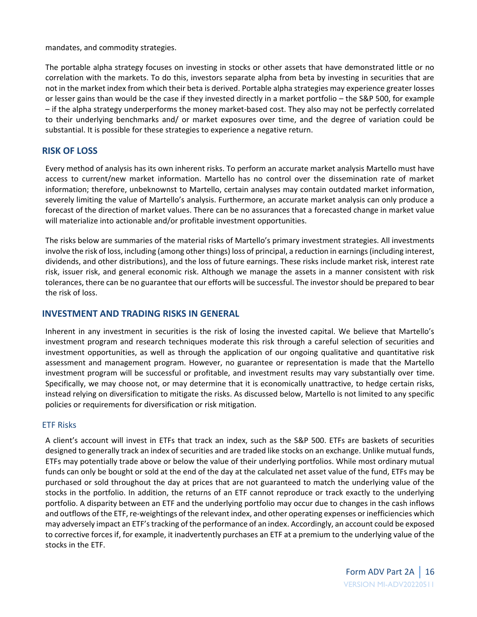mandates, and commodity strategies.

The portable alpha strategy focuses on investing in stocks or other assets that have demonstrated little or no correlation with the markets. To do this, investors separate alpha from beta by investing in securities that are not in the market index from which their beta is derived. Portable alpha strategies may experience greater losses or lesser gains than would be the case if they invested directly in a market portfolio – the S&P 500, for example – if the alpha strategy underperforms the money market-based cost. They also may not be perfectly correlated to their underlying benchmarks and/ or market exposures over time, and the degree of variation could be substantial. It is possible for these strategies to experience a negative return.

#### **RISK OF LOSS**

Every method of analysis has its own inherent risks. To perform an accurate market analysis Martello must have access to current/new market information. Martello has no control over the dissemination rate of market information; therefore, unbeknownst to Martello, certain analyses may contain outdated market information, severely limiting the value of Martello's analysis. Furthermore, an accurate market analysis can only produce a forecast of the direction of market values. There can be no assurances that a forecasted change in market value will materialize into actionable and/or profitable investment opportunities.

The risks below are summaries of the material risks of Martello's primary investment strategies. All investments involve the risk of loss, including (among other things) loss of principal, a reduction in earnings (including interest, dividends, and other distributions), and the loss of future earnings. These risks include market risk, interest rate risk, issuer risk, and general economic risk. Although we manage the assets in a manner consistent with risk tolerances, there can be no guarantee that our efforts will be successful. The investor should be prepared to bear the risk of loss.

#### **INVESTMENT AND TRADING RISKS IN GENERAL**

Inherent in any investment in securities is the risk of losing the invested capital. We believe that Martello's investment program and research techniques moderate this risk through a careful selection of securities and investment opportunities, as well as through the application of our ongoing qualitative and quantitative risk assessment and management program. However, no guarantee or representation is made that the Martello investment program will be successful or profitable, and investment results may vary substantially over time. Specifically, we may choose not, or may determine that it is economically unattractive, to hedge certain risks, instead relying on diversification to mitigate the risks. As discussed below, Martello is not limited to any specific policies or requirements for diversification or risk mitigation.

#### ETF Risks

A client's account will invest in ETFs that track an index, such as the S&P 500. ETFs are baskets of securities designed to generally track an index of securities and are traded like stocks on an exchange. Unlike mutual funds, ETFs may potentially trade above or below the value of their underlying portfolios. While most ordinary mutual funds can only be bought or sold at the end of the day at the calculated net asset value of the fund, ETFs may be purchased or sold throughout the day at prices that are not guaranteed to match the underlying value of the stocks in the portfolio. In addition, the returns of an ETF cannot reproduce or track exactly to the underlying portfolio. A disparity between an ETF and the underlying portfolio may occur due to changes in the cash inflows and outflows of the ETF, re-weightings of the relevant index, and other operating expenses or inefficiencies which may adversely impact an ETF's tracking of the performance of an index. Accordingly, an account could be exposed to corrective forces if, for example, it inadvertently purchases an ETF at a premium to the underlying value of the stocks in the ETF.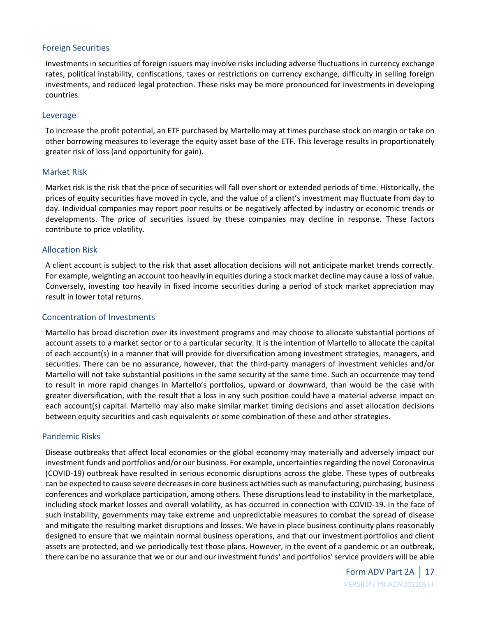#### Foreign Securities

Investments in securities of foreign issuers may involve risks including adverse fluctuations in currency exchange rates, political instability, confiscations, taxes or restrictions on currency exchange, difficulty in selling foreign investments, and reduced legal protection. These risks may be more pronounced for investments in developing countries.

#### Leverage

To increase the profit potential, an ETF purchased by Martello may at times purchase stock on margin or take on other borrowing measures to leverage the equity asset base of the ETF. This leverage results in proportionately greater risk of loss (and opportunity for gain).

#### Market Risk

Market risk is the risk that the price of securities will fall over short or extended periods of time. Historically, the prices of equity securities have moved in cycle, and the value of a client's investment may fluctuate from day to day. Individual companies may report poor results or be negatively affected by industry or economic trends or developments. The price of securities issued by these companies may decline in response. These factors contribute to price volatility.

#### Allocation Risk

A client account is subject to the risk that asset allocation decisions will not anticipate market trends correctly. For example, weighting an account too heavily in equities during a stock market decline may cause a loss of value. Conversely, investing too heavily in fixed income securities during a period of stock market appreciation may result in lower total returns.

#### Concentration of Investments

Martello has broad discretion over its investment programs and may choose to allocate substantial portions of account assets to a market sector or to a particular security. It is the intention of Martello to allocate the capital of each account(s) in a manner that will provide for diversification among investment strategies, managers, and securities. There can be no assurance, however, that the third-party managers of investment vehicles and/or Martello will not take substantial positions in the same security at the same time. Such an occurrence may tend to result in more rapid changes in Martello's portfolios, upward or downward, than would be the case with greater diversification, with the result that a loss in any such position could have a material adverse impact on each account(s) capital. Martello may also make similar market timing decisions and asset allocation decisions between equity securities and cash equivalents or some combination of these and other strategies.

#### Pandemic Risks

Disease outbreaks that affect local economies or the global economy may materially and adversely impact our investment funds and portfolios and/or our business. For example, uncertainties regarding the novel Coronavirus (COVID-19) outbreak have resulted in serious economic disruptions across the globe. These types of outbreaks can be expected to cause severe decreases in core business activities such as manufacturing, purchasing, business conferences and workplace participation, among others. These disruptions lead to instability in the marketplace, including stock market losses and overall volatility, as has occurred in connection with COVID-19. In the face of such instability, governments may take extreme and unpredictable measures to combat the spread of disease and mitigate the resulting market disruptions and losses. We have in place business continuity plans reasonably designed to ensure that we maintain normal business operations, and that our investment portfolios and client assets are protected, and we periodically test those plans. However, in the event of a pandemic or an outbreak, there can be no assurance that we or our and our investment funds' and portfolios' service providers will be able

> Form ADV Part 2A | 17 VERSION MI-ADV20220511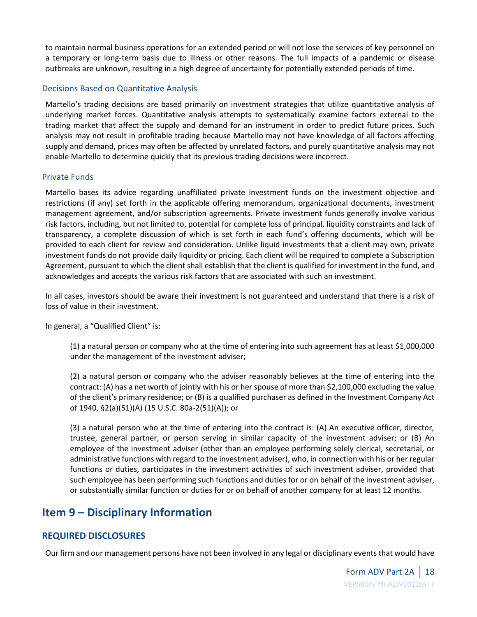to maintain normal business operations for an extended period or will not lose the services of key personnel on a temporary or long-term basis due to illness or other reasons. The full impacts of a pandemic or disease outbreaks are unknown, resulting in a high degree of uncertainty for potentially extended periods of time.

#### Decisions Based on Quantitative Analysis

Martello's trading decisions are based primarily on investment strategies that utilize quantitative analysis of underlying market forces. Quantitative analysis attempts to systematically examine factors external to the trading market that affect the supply and demand for an instrument in order to predict future prices. Such analysis may not result in profitable trading because Martello may not have knowledge of all factors affecting supply and demand, prices may often be affected by unrelated factors, and purely quantitative analysis may not enable Martello to determine quickly that its previous trading decisions were incorrect.

#### Private Funds

Martello bases its advice regarding unaffiliated private investment funds on the investment objective and restrictions (if any) set forth in the applicable offering memorandum, organizational documents, investment management agreement, and/or subscription agreements. Private investment funds generally involve various risk factors, including, but not limited to, potential for complete loss of principal, liquidity constraints and lack of transparency, a complete discussion of which is set forth in each fund's offering documents, which will be provided to each client for review and consideration. Unlike liquid investments that a client may own, private investment funds do not provide daily liquidity or pricing. Each client will be required to complete a Subscription Agreement, pursuant to which the client shall establish that the client is qualified for investment in the fund, and acknowledges and accepts the various risk factors that are associated with such an investment.

In all cases, investors should be aware their investment is not guaranteed and understand that there is a risk of loss of value in their investment.

In general, a "Qualified Client" is:

(1) a natural person or company who at the time of entering into such agreement has at least \$1,000,000 under the management of the investment adviser;

(2) a natural person or company who the adviser reasonably believes at the time of entering into the contract: (A) has a net worth of jointly with his or her spouse of more than \$2,100,000 excluding the value of the client's primary residence; or (B) is a qualified purchaser as defined in the Investment Company Act of 1940, §2(a)(51)(A) (15 U.S.C. 80a-2(51)(A)); or

(3) a natural person who at the time of entering into the contract is: (A) An executive officer, director, trustee, general partner, or person serving in similar capacity of the investment adviser; or (B) An employee of the investment adviser (other than an employee performing solely clerical, secretarial, or administrative functions with regard to the investment adviser), who, in connection with his or her regular functions or duties, participates in the investment activities of such investment adviser, provided that such employee has been performing such functions and duties for or on behalf of the investment adviser, or substantially similar function or duties for or on behalf of another company for at least 12 months.

# <span id="page-17-0"></span>**Item 9 – Disciplinary Information**

## **REQUIRED DISCLOSURES**

Our firm and our management persons have not been involved in any legal or disciplinary events that would have

Form ADV Part 2A | 18 VERSION MI-ADV20220511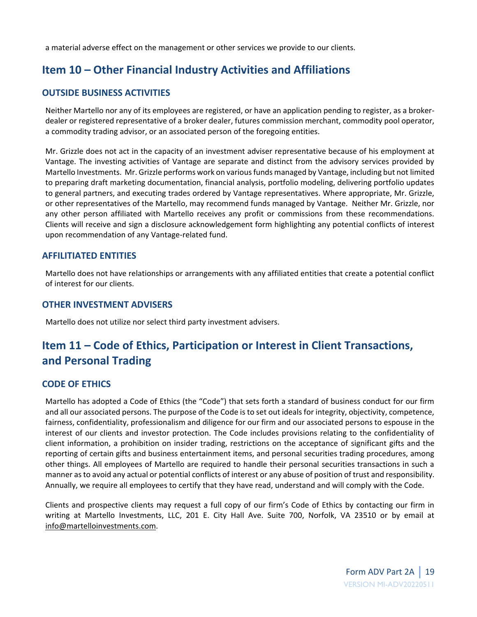a material adverse effect on the management or other services we provide to our clients.

# <span id="page-18-0"></span>**Item 10 – Other Financial Industry Activities and Affiliations**

### **OUTSIDE BUSINESS ACTIVITIES**

Neither Martello nor any of its employees are registered, or have an application pending to register, as a brokerdealer or registered representative of a broker dealer, futures commission merchant, commodity pool operator, a commodity trading advisor, or an associated person of the foregoing entities.

Mr. Grizzle does not act in the capacity of an investment adviser representative because of his employment at Vantage. The investing activities of Vantage are separate and distinct from the advisory services provided by Martello Investments. Mr. Grizzle performs work on various funds managed by Vantage, including but not limited to preparing draft marketing documentation, financial analysis, portfolio modeling, delivering portfolio updates to general partners, and executing trades ordered by Vantage representatives. Where appropriate, Mr. Grizzle, or other representatives of the Martello, may recommend funds managed by Vantage. Neither Mr. Grizzle, nor any other person affiliated with Martello receives any profit or commissions from these recommendations. Clients will receive and sign a disclosure acknowledgement form highlighting any potential conflicts of interest upon recommendation of any Vantage-related fund.

### **AFFILITIATED ENTITIES**

Martello does not have relationships or arrangements with any affiliated entities that create a potential conflict of interest for our clients.

#### **OTHER INVESTMENT ADVISERS**

Martello does not utilize nor select third party investment advisers.

# <span id="page-18-1"></span>**Item 11 – Code of Ethics, Participation or Interest in Client Transactions, and Personal Trading**

### **CODE OF ETHICS**

Martello has adopted a Code of Ethics (the "Code") that sets forth a standard of business conduct for our firm and all our associated persons. The purpose of the Code is to set out ideals for integrity, objectivity, competence, fairness, confidentiality, professionalism and diligence for our firm and our associated persons to espouse in the interest of our clients and investor protection. The Code includes provisions relating to the confidentiality of client information, a prohibition on insider trading, restrictions on the acceptance of significant gifts and the reporting of certain gifts and business entertainment items, and personal securities trading procedures, among other things. All employees of Martello are required to handle their personal securities transactions in such a manner as to avoid any actual or potential conflicts of interest or any abuse of position of trust and responsibility. Annually, we require all employees to certify that they have read, understand and will comply with the Code.

Clients and prospective clients may request a full copy of our firm's Code of Ethics by contacting our firm in writing at Martello Investments, LLC, 201 E. City Hall Ave. Suite 700, Norfolk, VA 23510 or by email at info@martelloinvestments.com.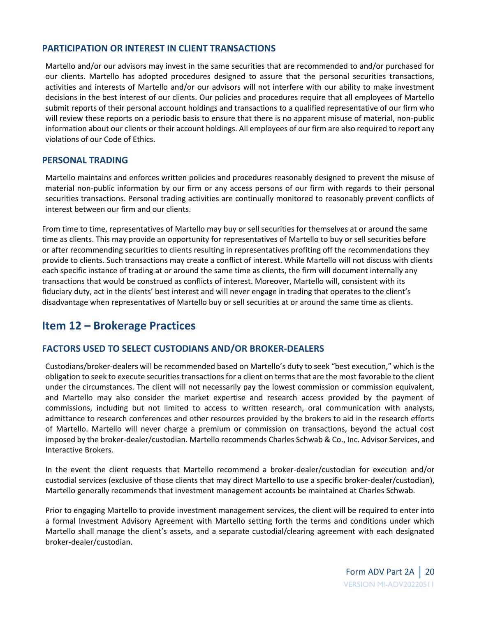### **PARTICIPATION OR INTEREST IN CLIENT TRANSACTIONS**

Martello and/or our advisors may invest in the same securities that are recommended to and/or purchased for our clients. Martello has adopted procedures designed to assure that the personal securities transactions, activities and interests of Martello and/or our advisors will not interfere with our ability to make investment decisions in the best interest of our clients. Our policies and procedures require that all employees of Martello submit reports of their personal account holdings and transactions to a qualified representative of our firm who will review these reports on a periodic basis to ensure that there is no apparent misuse of material, non-public information about our clients or their account holdings. All employees of our firm are also required to report any violations of our Code of Ethics.

### **PERSONAL TRADING**

Martello maintains and enforces written policies and procedures reasonably designed to prevent the misuse of material non-public information by our firm or any access persons of our firm with regards to their personal securities transactions. Personal trading activities are continually monitored to reasonably prevent conflicts of interest between our firm and our clients.

<span id="page-19-0"></span>From time to time, representatives of Martello may buy or sell securities for themselves at or around the same time as clients. This may provide an opportunity for representatives of Martello to buy or sell securities before or after recommending securities to clients resulting in representatives profiting off the recommendations they provide to clients. Such transactions may create a conflict of interest. While Martello will not discuss with clients each specific instance of trading at or around the same time as clients, the firm will document internally any transactions that would be construed as conflicts of interest. Moreover, Martello will, consistent with its fiduciary duty, act in the clients' best interest and will never engage in trading that operates to the client's disadvantage when representatives of Martello buy or sell securities at or around the same time as clients.

# **Item 12 – Brokerage Practices**

## **FACTORS USED TO SELECT CUSTODIANS AND/OR BROKER-DEALERS**

Custodians/broker-dealers will be recommended based on Martello's duty to seek "best execution," which is the obligation to seek to execute securities transactions for a client on terms that are the most favorable to the client under the circumstances. The client will not necessarily pay the lowest commission or commission equivalent, and Martello may also consider the market expertise and research access provided by the payment of commissions, including but not limited to access to written research, oral communication with analysts, admittance to research conferences and other resources provided by the brokers to aid in the research efforts of Martello. Martello will never charge a premium or commission on transactions, beyond the actual cost imposed by the broker-dealer/custodian. Martello recommends Charles Schwab & Co., Inc. Advisor Services, and Interactive Brokers.

In the event the client requests that Martello recommend a broker-dealer/custodian for execution and/or custodial services (exclusive of those clients that may direct Martello to use a specific broker-dealer/custodian), Martello generally recommends that investment management accounts be maintained at Charles Schwab.

Prior to engaging Martello to provide investment management services, the client will be required to enter into a formal Investment Advisory Agreement with Martello setting forth the terms and conditions under which Martello shall manage the client's assets, and a separate custodial/clearing agreement with each designated broker-dealer/custodian.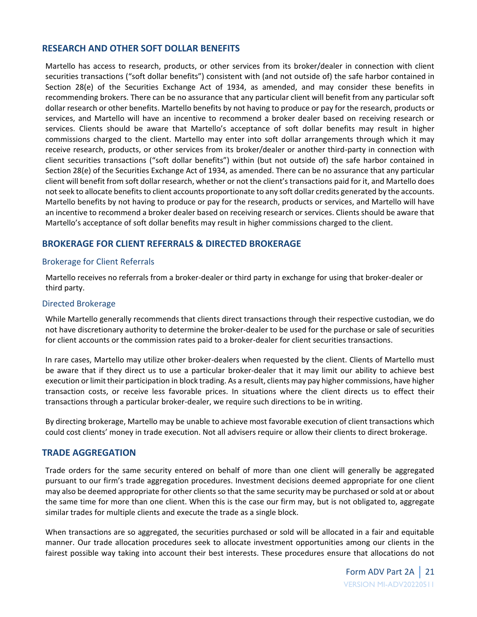#### **RESEARCH AND OTHER SOFT DOLLAR BENEFITS**

Martello has access to research, products, or other services from its broker/dealer in connection with client securities transactions ("soft dollar benefits") consistent with (and not outside of) the safe harbor contained in Section 28(e) of the Securities Exchange Act of 1934, as amended, and may consider these benefits in recommending brokers. There can be no assurance that any particular client will benefit from any particular soft dollar research or other benefits. Martello benefits by not having to produce or pay for the research, products or services, and Martello will have an incentive to recommend a broker dealer based on receiving research or services. Clients should be aware that Martello's acceptance of soft dollar benefits may result in higher commissions charged to the client. Martello may enter into soft dollar arrangements through which it may receive research, products, or other services from its broker/dealer or another third-party in connection with client securities transactions ("soft dollar benefits") within (but not outside of) the safe harbor contained in Section 28(e) of the Securities Exchange Act of 1934, as amended. There can be no assurance that any particular client will benefit from soft dollar research, whether or not the client's transactions paid for it, and Martello does not seek to allocate benefits to client accounts proportionate to any soft dollar credits generated by the accounts. Martello benefits by not having to produce or pay for the research, products or services, and Martello will have an incentive to recommend a broker dealer based on receiving research or services. Clients should be aware that Martello's acceptance of soft dollar benefits may result in higher commissions charged to the client.

### **BROKERAGE FOR CLIENT REFERRALS & DIRECTED BROKERAGE**

#### Brokerage for Client Referrals

Martello receives no referrals from a broker-dealer or third party in exchange for using that broker-dealer or third party.

#### Directed Brokerage

While Martello generally recommends that clients direct transactions through their respective custodian, we do not have discretionary authority to determine the broker-dealer to be used for the purchase or sale of securities for client accounts or the commission rates paid to a broker-dealer for client securities transactions.

In rare cases, Martello may utilize other broker-dealers when requested by the client. Clients of Martello must be aware that if they direct us to use a particular broker-dealer that it may limit our ability to achieve best execution or limit their participation in block trading. As a result, clients may pay higher commissions, have higher transaction costs, or receive less favorable prices. In situations where the client directs us to effect their transactions through a particular broker-dealer, we require such directions to be in writing.

By directing brokerage, Martello may be unable to achieve most favorable execution of client transactions which could cost clients' money in trade execution. Not all advisers require or allow their clients to direct brokerage.

#### **TRADE AGGREGATION**

Trade orders for the same security entered on behalf of more than one client will generally be aggregated pursuant to our firm's trade aggregation procedures. Investment decisions deemed appropriate for one client may also be deemed appropriate for other clients so that the same security may be purchased or sold at or about the same time for more than one client. When this is the case our firm may, but is not obligated to, aggregate similar trades for multiple clients and execute the trade as a single block.

When transactions are so aggregated, the securities purchased or sold will be allocated in a fair and equitable manner. Our trade allocation procedures seek to allocate investment opportunities among our clients in the fairest possible way taking into account their best interests. These procedures ensure that allocations do not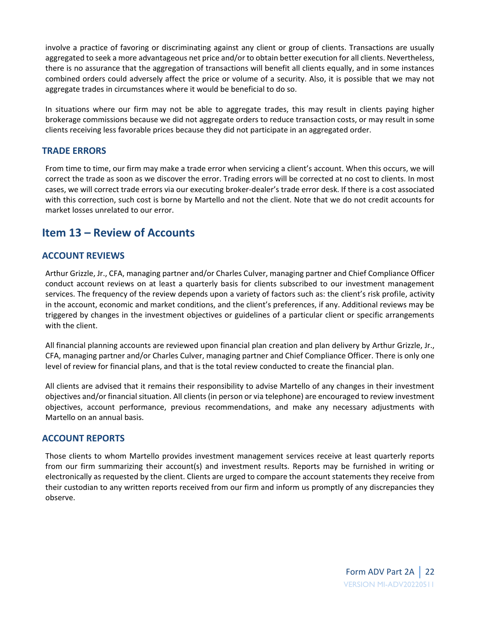involve a practice of favoring or discriminating against any client or group of clients. Transactions are usually aggregated to seek a more advantageous net price and/or to obtain better execution for all clients. Nevertheless, there is no assurance that the aggregation of transactions will benefit all clients equally, and in some instances combined orders could adversely affect the price or volume of a security. Also, it is possible that we may not aggregate trades in circumstances where it would be beneficial to do so.

In situations where our firm may not be able to aggregate trades, this may result in clients paying higher brokerage commissions because we did not aggregate orders to reduce transaction costs, or may result in some clients receiving less favorable prices because they did not participate in an aggregated order.

#### **TRADE ERRORS**

From time to time, our firm may make a trade error when servicing a client's account. When this occurs, we will correct the trade as soon as we discover the error. Trading errors will be corrected at no cost to clients. In most cases, we will correct trade errors via our executing broker-dealer's trade error desk. If there is a cost associated with this correction, such cost is borne by Martello and not the client. Note that we do not credit accounts for market losses unrelated to our error.

# <span id="page-21-0"></span>**Item 13 – Review of Accounts**

### **ACCOUNT REVIEWS**

Arthur Grizzle, Jr., CFA, managing partner and/or Charles Culver, managing partner and Chief Compliance Officer conduct account reviews on at least a quarterly basis for clients subscribed to our investment management services. The frequency of the review depends upon a variety of factors such as: the client's risk profile, activity in the account, economic and market conditions, and the client's preferences, if any. Additional reviews may be triggered by changes in the investment objectives or guidelines of a particular client or specific arrangements with the client.

All financial planning accounts are reviewed upon financial plan creation and plan delivery by Arthur Grizzle, Jr., CFA, managing partner and/or Charles Culver, managing partner and Chief Compliance Officer. There is only one level of review for financial plans, and that is the total review conducted to create the financial plan.

All clients are advised that it remains their responsibility to advise Martello of any changes in their investment objectives and/or financial situation. All clients (in person or via telephone) are encouraged to review investment objectives, account performance, previous recommendations, and make any necessary adjustments with Martello on an annual basis.

#### **ACCOUNT REPORTS**

Those clients to whom Martello provides investment management services receive at least quarterly reports from our firm summarizing their account(s) and investment results. Reports may be furnished in writing or electronically as requested by the client. Clients are urged to compare the account statements they receive from their custodian to any written reports received from our firm and inform us promptly of any discrepancies they observe.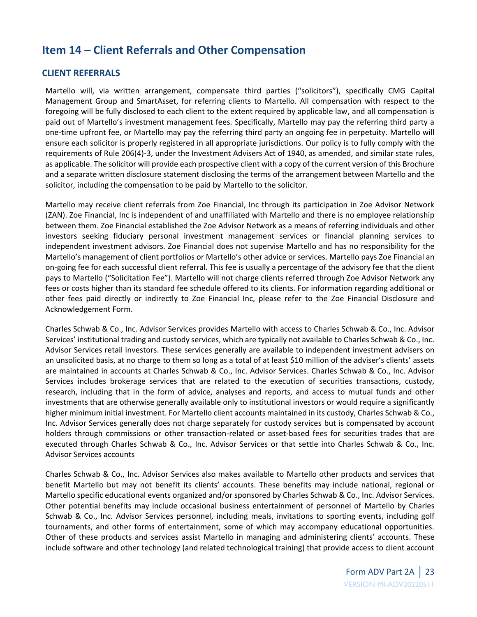# <span id="page-22-0"></span>**Item 14 – Client Referrals and Other Compensation**

### **CLIENT REFERRALS**

Martello will, via written arrangement, compensate third parties ("solicitors"), specifically CMG Capital Management Group and SmartAsset, for referring clients to Martello. All compensation with respect to the foregoing will be fully disclosed to each client to the extent required by applicable law, and all compensation is paid out of Martello's investment management fees. Specifically, Martello may pay the referring third party a one-time upfront fee, or Martello may pay the referring third party an ongoing fee in perpetuity. Martello will ensure each solicitor is properly registered in all appropriate jurisdictions. Our policy is to fully comply with the requirements of Rule 206(4)-3, under the Investment Advisers Act of 1940, as amended, and similar state rules, as applicable. The solicitor will provide each prospective client with a copy of the current version of this Brochure and a separate written disclosure statement disclosing the terms of the arrangement between Martello and the solicitor, including the compensation to be paid by Martello to the solicitor.

Martello may receive client referrals from Zoe Financial, Inc through its participation in Zoe Advisor Network (ZAN). Zoe Financial, Inc is independent of and unaffiliated with Martello and there is no employee relationship between them. Zoe Financial established the Zoe Advisor Network as a means of referring individuals and other investors seeking fiduciary personal investment management services or financial planning services to independent investment advisors. Zoe Financial does not supervise Martello and has no responsibility for the Martello's management of client portfolios or Martello's other advice or services. Martello pays Zoe Financial an on-going fee for each successful client referral. This fee is usually a percentage of the advisory fee that the client pays to Martello ("Solicitation Fee"). Martello will not charge clients referred through Zoe Advisor Network any fees or costs higher than its standard fee schedule offered to its clients. For information regarding additional or other fees paid directly or indirectly to Zoe Financial Inc, please refer to the Zoe Financial Disclosure and Acknowledgement Form.

Charles Schwab & Co., Inc. Advisor Services provides Martello with access to Charles Schwab & Co., Inc. Advisor Services' institutional trading and custody services, which are typically not available to Charles Schwab & Co., Inc. Advisor Services retail investors. These services generally are available to independent investment advisers on an unsolicited basis, at no charge to them so long as a total of at least \$10 million of the adviser's clients' assets are maintained in accounts at Charles Schwab & Co., Inc. Advisor Services. Charles Schwab & Co., Inc. Advisor Services includes brokerage services that are related to the execution of securities transactions, custody, research, including that in the form of advice, analyses and reports, and access to mutual funds and other investments that are otherwise generally available only to institutional investors or would require a significantly higher minimum initial investment. For Martello client accounts maintained in its custody, Charles Schwab & Co., Inc. Advisor Services generally does not charge separately for custody services but is compensated by account holders through commissions or other transaction-related or asset-based fees for securities trades that are executed through Charles Schwab & Co., Inc. Advisor Services or that settle into Charles Schwab & Co., Inc. Advisor Services accounts

Charles Schwab & Co., Inc. Advisor Services also makes available to Martello other products and services that benefit Martello but may not benefit its clients' accounts. These benefits may include national, regional or Martello specific educational events organized and/or sponsored by Charles Schwab & Co., Inc. Advisor Services. Other potential benefits may include occasional business entertainment of personnel of Martello by Charles Schwab & Co., Inc. Advisor Services personnel, including meals, invitations to sporting events, including golf tournaments, and other forms of entertainment, some of which may accompany educational opportunities. Other of these products and services assist Martello in managing and administering clients' accounts. These include software and other technology (and related technological training) that provide access to client account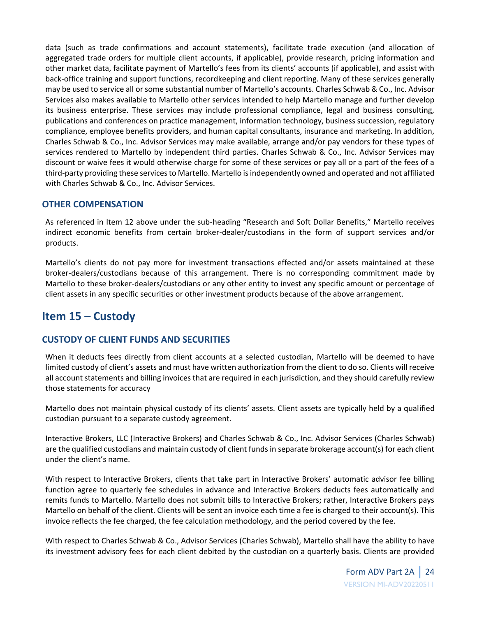data (such as trade confirmations and account statements), facilitate trade execution (and allocation of aggregated trade orders for multiple client accounts, if applicable), provide research, pricing information and other market data, facilitate payment of Martello's fees from its clients' accounts (if applicable), and assist with back-office training and support functions, recordkeeping and client reporting. Many of these services generally may be used to service all or some substantial number of Martello's accounts. Charles Schwab & Co., Inc. Advisor Services also makes available to Martello other services intended to help Martello manage and further develop its business enterprise. These services may include professional compliance, legal and business consulting, publications and conferences on practice management, information technology, business succession, regulatory compliance, employee benefits providers, and human capital consultants, insurance and marketing. In addition, Charles Schwab & Co., Inc. Advisor Services may make available, arrange and/or pay vendors for these types of services rendered to Martello by independent third parties. Charles Schwab & Co., Inc. Advisor Services may discount or waive fees it would otherwise charge for some of these services or pay all or a part of the fees of a third-party providing these services to Martello. Martello is independently owned and operated and not affiliated with Charles Schwab & Co., Inc. Advisor Services.

### **OTHER COMPENSATION**

As referenced in Item 12 above under the sub-heading "Research and Soft Dollar Benefits," Martello receives indirect economic benefits from certain broker-dealer/custodians in the form of support services and/or products.

Martello's clients do not pay more for investment transactions effected and/or assets maintained at these broker-dealers/custodians because of this arrangement. There is no corresponding commitment made by Martello to these broker-dealers/custodians or any other entity to invest any specific amount or percentage of client assets in any specific securities or other investment products because of the above arrangement.

# <span id="page-23-0"></span>**Item 15 – Custody**

## **CUSTODY OF CLIENT FUNDS AND SECURITIES**

When it deducts fees directly from client accounts at a selected custodian, Martello will be deemed to have limited custody of client's assets and must have written authorization from the client to do so. Clients will receive all account statements and billing invoices that are required in each jurisdiction, and they should carefully review those statements for accuracy

Martello does not maintain physical custody of its clients' assets. Client assets are typically held by a qualified custodian pursuant to a separate custody agreement.

Interactive Brokers, LLC (Interactive Brokers) and Charles Schwab & Co., Inc. Advisor Services (Charles Schwab) are the qualified custodians and maintain custody of client funds in separate brokerage account(s) for each client under the client's name.

With respect to Interactive Brokers, clients that take part in Interactive Brokers' automatic advisor fee billing function agree to quarterly fee schedules in advance and Interactive Brokers deducts fees automatically and remits funds to Martello. Martello does not submit bills to Interactive Brokers; rather, Interactive Brokers pays Martello on behalf of the client. Clients will be sent an invoice each time a fee is charged to their account(s). This invoice reflects the fee charged, the fee calculation methodology, and the period covered by the fee.

With respect to Charles Schwab & Co., Advisor Services (Charles Schwab), Martello shall have the ability to have its investment advisory fees for each client debited by the custodian on a quarterly basis. Clients are provided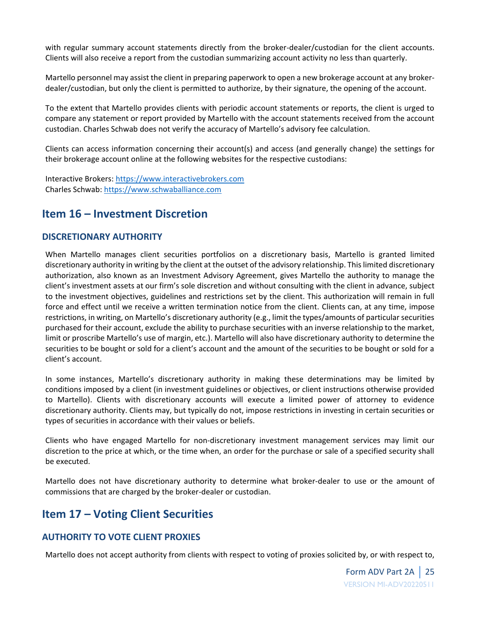with regular summary account statements directly from the broker-dealer/custodian for the client accounts. Clients will also receive a report from the custodian summarizing account activity no less than quarterly.

Martello personnel may assist the client in preparing paperwork to open a new brokerage account at any brokerdealer/custodian, but only the client is permitted to authorize, by their signature, the opening of the account.

To the extent that Martello provides clients with periodic account statements or reports, the client is urged to compare any statement or report provided by Martello with the account statements received from the account custodian. Charles Schwab does not verify the accuracy of Martello's advisory fee calculation.

Clients can access information concerning their account(s) and access (and generally change) the settings for their brokerage account online at the following websites for the respective custodians:

Interactive Brokers[: https://www.interactivebrokers.com](https://www.interactivebrokers.com/) Charles Schwab[: https://www.schwaballiance.com](https://www.schwaballiance.com/)

# <span id="page-24-0"></span>**Item 16 – Investment Discretion**

### **DISCRETIONARY AUTHORITY**

When Martello manages client securities portfolios on a discretionary basis, Martello is granted limited discretionary authority in writing by the client at the outset of the advisory relationship. This limited discretionary authorization, also known as an Investment Advisory Agreement, gives Martello the authority to manage the client's investment assets at our firm's sole discretion and without consulting with the client in advance, subject to the investment objectives, guidelines and restrictions set by the client. This authorization will remain in full force and effect until we receive a written termination notice from the client. Clients can, at any time, impose restrictions, in writing, on Martello's discretionary authority (e.g., limit the types/amounts of particular securities purchased for their account, exclude the ability to purchase securities with an inverse relationship to the market, limit or proscribe Martello's use of margin, etc.). Martello will also have discretionary authority to determine the securities to be bought or sold for a client's account and the amount of the securities to be bought or sold for a client's account.

In some instances, Martello's discretionary authority in making these determinations may be limited by conditions imposed by a client (in investment guidelines or objectives, or client instructions otherwise provided to Martello). Clients with discretionary accounts will execute a limited power of attorney to evidence discretionary authority. Clients may, but typically do not, impose restrictions in investing in certain securities or types of securities in accordance with their values or beliefs.

Clients who have engaged Martello for non-discretionary investment management services may limit our discretion to the price at which, or the time when, an order for the purchase or sale of a specified security shall be executed.

Martello does not have discretionary authority to determine what broker-dealer to use or the amount of commissions that are charged by the broker-dealer or custodian.

# <span id="page-24-1"></span>**Item 17 – Voting Client Securities**

## **AUTHORITY TO VOTE CLIENT PROXIES**

Martello does not accept authority from clients with respect to voting of proxies solicited by, or with respect to,

Form ADV Part 2A | <sup>25</sup> VERSION MI-ADV20220511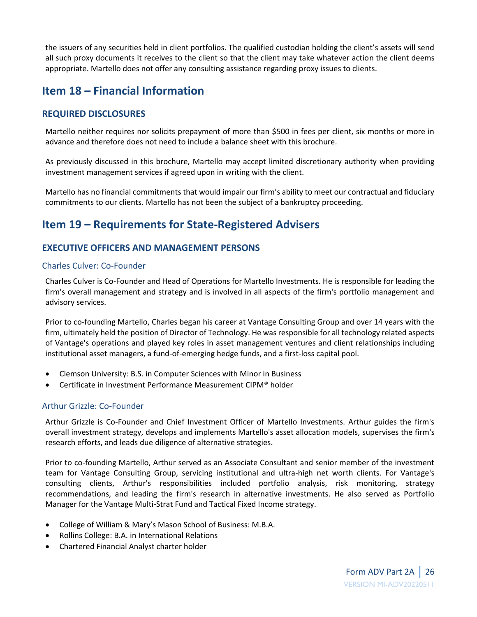the issuers of any securities held in client portfolios. The qualified custodian holding the client's assets will send all such proxy documents it receives to the client so that the client may take whatever action the client deems appropriate. Martello does not offer any consulting assistance regarding proxy issues to clients.

# <span id="page-25-0"></span>**Item 18 – Financial Information**

## **REQUIRED DISCLOSURES**

Martello neither requires nor solicits prepayment of more than \$500 in fees per client, six months or more in advance and therefore does not need to include a balance sheet with this brochure.

As previously discussed in this brochure, Martello may accept limited discretionary authority when providing investment management services if agreed upon in writing with the client.

Martello has no financial commitments that would impair our firm's ability to meet our contractual and fiduciary commitments to our clients. Martello has not been the subject of a bankruptcy proceeding.

# <span id="page-25-1"></span>**Item 19 – Requirements for State-Registered Advisers**

## **EXECUTIVE OFFICERS AND MANAGEMENT PERSONS**

### Charles Culver: Co-Founder

Charles Culver is Co-Founder and Head of Operations for Martello Investments. He is responsible for leading the firm's overall management and strategy and is involved in all aspects of the firm's portfolio management and advisory services.

Prior to co-founding Martello, Charles began his career at Vantage Consulting Group and over 14 years with the firm, ultimately held the position of Director of Technology. He was responsible for all technology related aspects of Vantage's operations and played key roles in asset management ventures and client relationships including institutional asset managers, a fund-of-emerging hedge funds, and a first-loss capital pool.

- Clemson University: B.S. in Computer Sciences with Minor in Business
- Certificate in Investment Performance Measurement CIPM® holder

### Arthur Grizzle: Co-Founder

Arthur Grizzle is Co-Founder and Chief Investment Officer of Martello Investments. Arthur guides the firm's overall investment strategy, develops and implements Martello's asset allocation models, supervises the firm's research efforts, and leads due diligence of alternative strategies.

Prior to co-founding Martello, Arthur served as an Associate Consultant and senior member of the investment team for Vantage Consulting Group, servicing institutional and ultra-high net worth clients. For Vantage's consulting clients, Arthur's responsibilities included portfolio analysis, risk monitoring, strategy recommendations, and leading the firm's research in alternative investments. He also served as Portfolio Manager for the Vantage Multi-Strat Fund and Tactical Fixed Income strategy.

- College of William & Mary's Mason School of Business: M.B.A.
- Rollins College: B.A. in International Relations
- Chartered Financial Analyst charter holder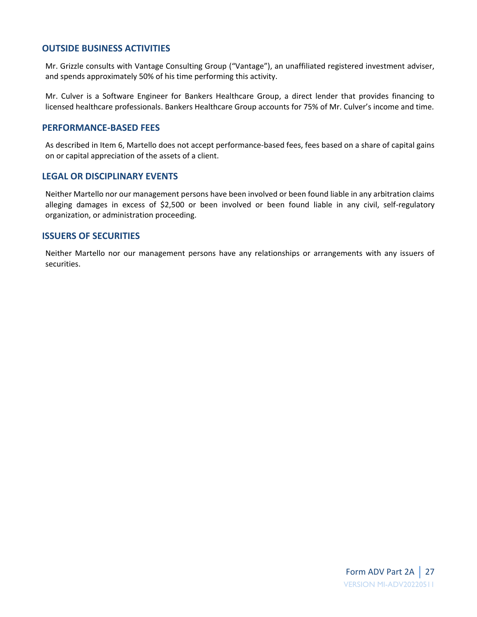### **OUTSIDE BUSINESS ACTIVITIES**

Mr. Grizzle consults with Vantage Consulting Group ("Vantage"), an unaffiliated registered investment adviser, and spends approximately 50% of his time performing this activity.

Mr. Culver is a Software Engineer for Bankers Healthcare Group, a direct lender that provides financing to licensed healthcare professionals. Bankers Healthcare Group accounts for 75% of Mr. Culver's income and time.

#### **PERFORMANCE-BASED FEES**

As described in Item 6, Martello does not accept performance-based fees, fees based on a share of capital gains on or capital appreciation of the assets of a client.

#### **LEGAL OR DISCIPLINARY EVENTS**

Neither Martello nor our management persons have been involved or been found liable in any arbitration claims alleging damages in excess of \$2,500 or been involved or been found liable in any civil, self-regulatory organization, or administration proceeding.

#### **ISSUERS OF SECURITIES**

Neither Martello nor our management persons have any relationships or arrangements with any issuers of securities.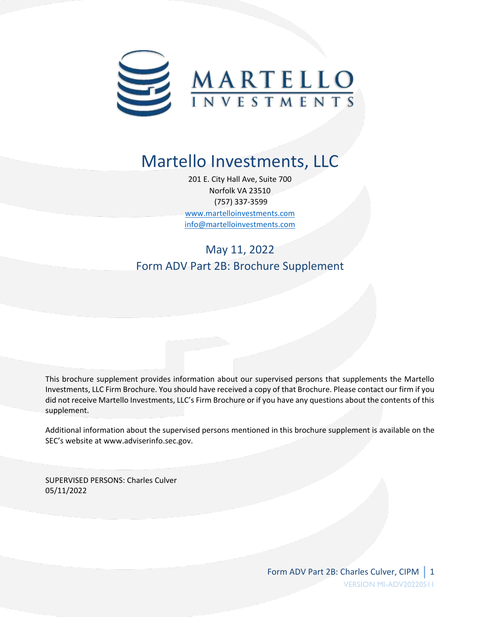

# Martello Investments, LLC

201 E. City Hall Ave, Suite 700 Norfolk VA 23510 (757) 337-3599 [www.martelloinvestments.com](http://www.martelloinvestments.com/) [info@martelloinvestments.com](mailto:info@martelloinvestments.com)

# May 11, 2022 Form ADV Part 2B: Brochure Supplement

This brochure supplement provides information about our supervised persons that supplements the Martello Investments, LLC Firm Brochure. You should have received a copy of that Brochure. Please contact our firm if you did not receive Martello Investments, LLC's Firm Brochure or if you have any questions about the contents of this supplement.

Additional information about the supervised persons mentioned in this brochure supplement is available on the SEC's website at www.adviserinfo.sec.gov.

SUPERVISED PERSONS: Charles Culver 05/11/2022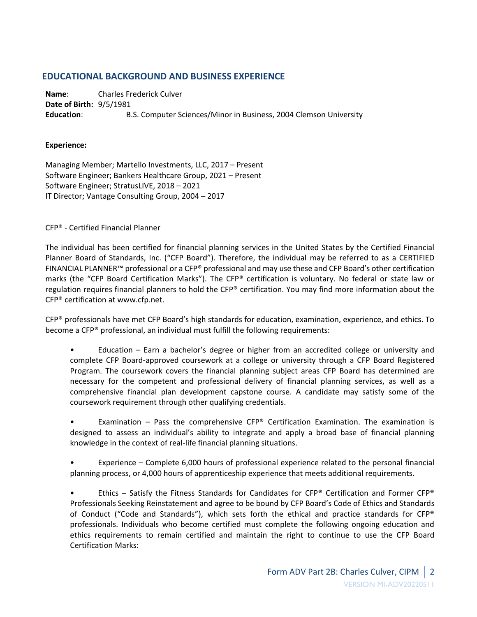### **EDUCATIONAL BACKGROUND AND BUSINESS EXPERIENCE**

**Name**: Charles Frederick Culver **Date of Birth:** 9/5/1981 **Education**: B.S. Computer Sciences/Minor in Business, 2004 Clemson University

#### **Experience:**

Managing Member; Martello Investments, LLC, 2017 – Present Software Engineer; Bankers Healthcare Group, 2021 – Present Software Engineer; StratusLIVE, 2018 – 2021 IT Director; Vantage Consulting Group, 2004 – 2017

CFP® - Certified Financial Planner

The individual has been certified for financial planning services in the United States by the Certified Financial Planner Board of Standards, Inc. ("CFP Board"). Therefore, the individual may be referred to as a CERTIFIED FINANCIAL PLANNER™ professional or a CFP® professional and may use these and CFP Board's other certification marks (the "CFP Board Certification Marks"). The CFP® certification is voluntary. No federal or state law or regulation requires financial planners to hold the CFP® certification. You may find more information about the CFP® certification at www.cfp.net.

CFP® professionals have met CFP Board's high standards for education, examination, experience, and ethics. To become a CFP® professional, an individual must fulfill the following requirements:

• Education – Earn a bachelor's degree or higher from an accredited college or university and complete CFP Board-approved coursework at a college or university through a CFP Board Registered Program. The coursework covers the financial planning subject areas CFP Board has determined are necessary for the competent and professional delivery of financial planning services, as well as a comprehensive financial plan development capstone course. A candidate may satisfy some of the coursework requirement through other qualifying credentials.

Examination – Pass the comprehensive CFP® Certification Examination. The examination is designed to assess an individual's ability to integrate and apply a broad base of financial planning knowledge in the context of real-life financial planning situations.

• Experience – Complete 6,000 hours of professional experience related to the personal financial planning process, or 4,000 hours of apprenticeship experience that meets additional requirements.

Ethics – Satisfy the Fitness Standards for Candidates for CFP® Certification and Former CFP® Professionals Seeking Reinstatement and agree to be bound by CFP Board's Code of Ethics and Standards of Conduct ("Code and Standards"), which sets forth the ethical and practice standards for CFP® professionals. Individuals who become certified must complete the following ongoing education and ethics requirements to remain certified and maintain the right to continue to use the CFP Board Certification Marks: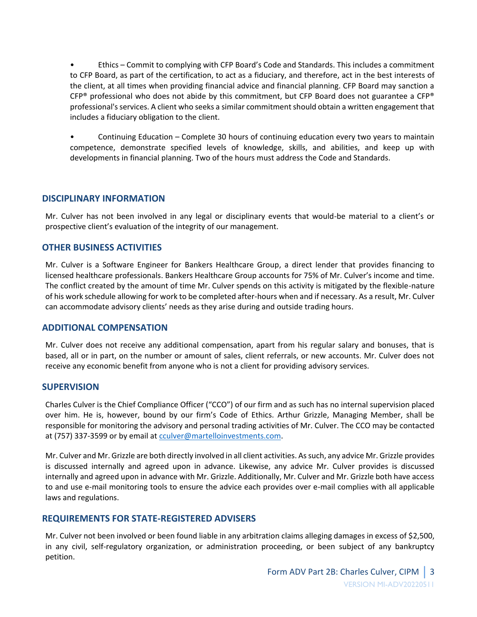• Ethics – Commit to complying with CFP Board's Code and Standards. This includes a commitment to CFP Board, as part of the certification, to act as a fiduciary, and therefore, act in the best interests of the client, at all times when providing financial advice and financial planning. CFP Board may sanction a  $CFP^{\circ}$  professional who does not abide by this commitment, but CFP Board does not guarantee a CFP $^{\circ}$ professional's services. A client who seeks a similar commitment should obtain a written engagement that includes a fiduciary obligation to the client.

• Continuing Education – Complete 30 hours of continuing education every two years to maintain competence, demonstrate specified levels of knowledge, skills, and abilities, and keep up with developments in financial planning. Two of the hours must address the Code and Standards.

#### **DISCIPLINARY INFORMATION**

Mr. Culver has not been involved in any legal or disciplinary events that would-be material to a client's or prospective client's evaluation of the integrity of our management.

### **OTHER BUSINESS ACTIVITIES**

Mr. Culver is a Software Engineer for Bankers Healthcare Group, a direct lender that provides financing to licensed healthcare professionals. Bankers Healthcare Group accounts for 75% of Mr. Culver's income and time. The conflict created by the amount of time Mr. Culver spends on this activity is mitigated by the flexible-nature of his work schedule allowing for work to be completed after-hours when and if necessary. As a result, Mr. Culver can accommodate advisory clients' needs as they arise during and outside trading hours.

#### **ADDITIONAL COMPENSATION**

Mr. Culver does not receive any additional compensation, apart from his regular salary and bonuses, that is based, all or in part, on the number or amount of sales, client referrals, or new accounts. Mr. Culver does not receive any economic benefit from anyone who is not a client for providing advisory services.

#### **SUPERVISION**

Charles Culver is the Chief Compliance Officer ("CCO") of our firm and as such has no internal supervision placed over him. He is, however, bound by our firm's Code of Ethics. Arthur Grizzle, Managing Member, shall be responsible for monitoring the advisory and personal trading activities of Mr. Culver. The CCO may be contacted at (757) 337-3599 or by email at [cculver@martelloinvestments.com.](mailto:cculver@martelloinvestments.com)

Mr. Culver and Mr. Grizzle are both directly involved in all client activities. As such, any advice Mr. Grizzle provides is discussed internally and agreed upon in advance. Likewise, any advice Mr. Culver provides is discussed internally and agreed upon in advance with Mr. Grizzle. Additionally, Mr. Culver and Mr. Grizzle both have access to and use e-mail monitoring tools to ensure the advice each provides over e-mail complies with all applicable laws and regulations.

#### **REQUIREMENTS FOR STATE-REGISTERED ADVISERS**

Mr. Culver not been involved or been found liable in any arbitration claims alleging damages in excess of \$2,500, in any civil, self-regulatory organization, or administration proceeding, or been subject of any bankruptcy petition.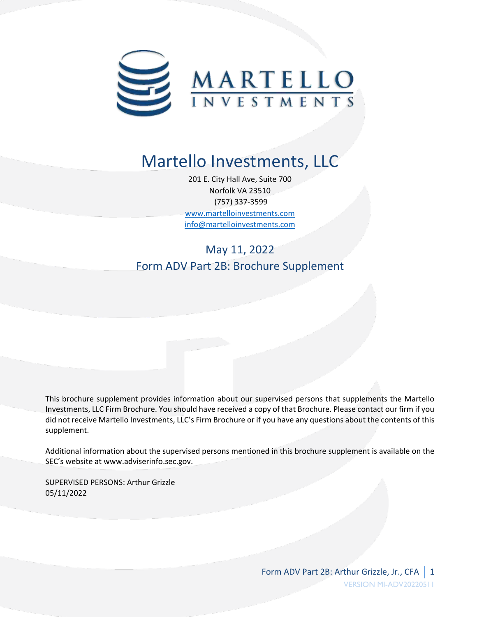

# Martello Investments, LLC

201 E. City Hall Ave, Suite 700 Norfolk VA 23510 (757) 337-3599 [www.martelloinvestments.com](http://www.martelloinvestments.com/) [info@martelloinvestments.com](mailto:info@martelloinvestments.com)

# May 11, 2022 Form ADV Part 2B: Brochure Supplement

This brochure supplement provides information about our supervised persons that supplements the Martello Investments, LLC Firm Brochure. You should have received a copy of that Brochure. Please contact our firm if you did not receive Martello Investments, LLC's Firm Brochure or if you have any questions about the contents of this supplement.

Additional information about the supervised persons mentioned in this brochure supplement is available on the SEC's website at www.adviserinfo.sec.gov.

SUPERVISED PERSONS: Arthur Grizzle 05/11/2022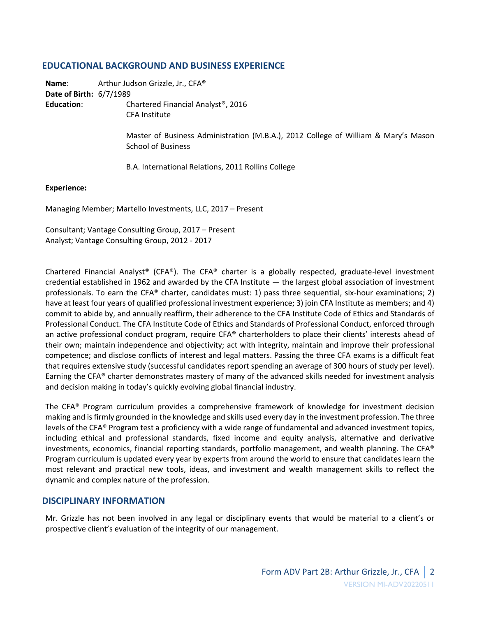#### **EDUCATIONAL BACKGROUND AND BUSINESS EXPERIENCE**

**Name**: Arthur Judson Grizzle, Jr., CFA® **Date of Birth:** 6/7/1989

**Education**: Chartered Financial Analyst®, 2016 CFA Institute

> Master of Business Administration (M.B.A.), 2012 College of William & Mary's Mason School of Business

B.A. International Relations, 2011 Rollins College

#### **Experience:**

Managing Member; Martello Investments, LLC, 2017 – Present

Consultant; Vantage Consulting Group, 2017 – Present Analyst; Vantage Consulting Group, 2012 - 2017

Chartered Financial Analyst® (CFA®). The CFA® charter is a globally respected, graduate-level investment credential established in 1962 and awarded by the CFA Institute — the largest global association of investment professionals. To earn the CFA® charter, candidates must: 1) pass three sequential, six-hour examinations; 2) have at least four years of qualified professional investment experience; 3) join CFA Institute as members; and 4) commit to abide by, and annually reaffirm, their adherence to the CFA Institute Code of Ethics and Standards of Professional Conduct. The CFA Institute Code of Ethics and Standards of Professional Conduct, enforced through an active professional conduct program, require CFA® charterholders to place their clients' interests ahead of their own; maintain independence and objectivity; act with integrity, maintain and improve their professional competence; and disclose conflicts of interest and legal matters. Passing the three CFA exams is a difficult feat that requires extensive study (successful candidates report spending an average of 300 hours of study per level). Earning the CFA® charter demonstrates mastery of many of the advanced skills needed for investment analysis and decision making in today's quickly evolving global financial industry.

The CFA® Program curriculum provides a comprehensive framework of knowledge for investment decision making and is firmly grounded in the knowledge and skills used every day in the investment profession. The three levels of the CFA® Program test a proficiency with a wide range of fundamental and advanced investment topics, including ethical and professional standards, fixed income and equity analysis, alternative and derivative investments, economics, financial reporting standards, portfolio management, and wealth planning. The CFA® Program curriculum is updated every year by experts from around the world to ensure that candidates learn the most relevant and practical new tools, ideas, and investment and wealth management skills to reflect the dynamic and complex nature of the profession.

#### **DISCIPLINARY INFORMATION**

Mr. Grizzle has not been involved in any legal or disciplinary events that would be material to a client's or prospective client's evaluation of the integrity of our management.